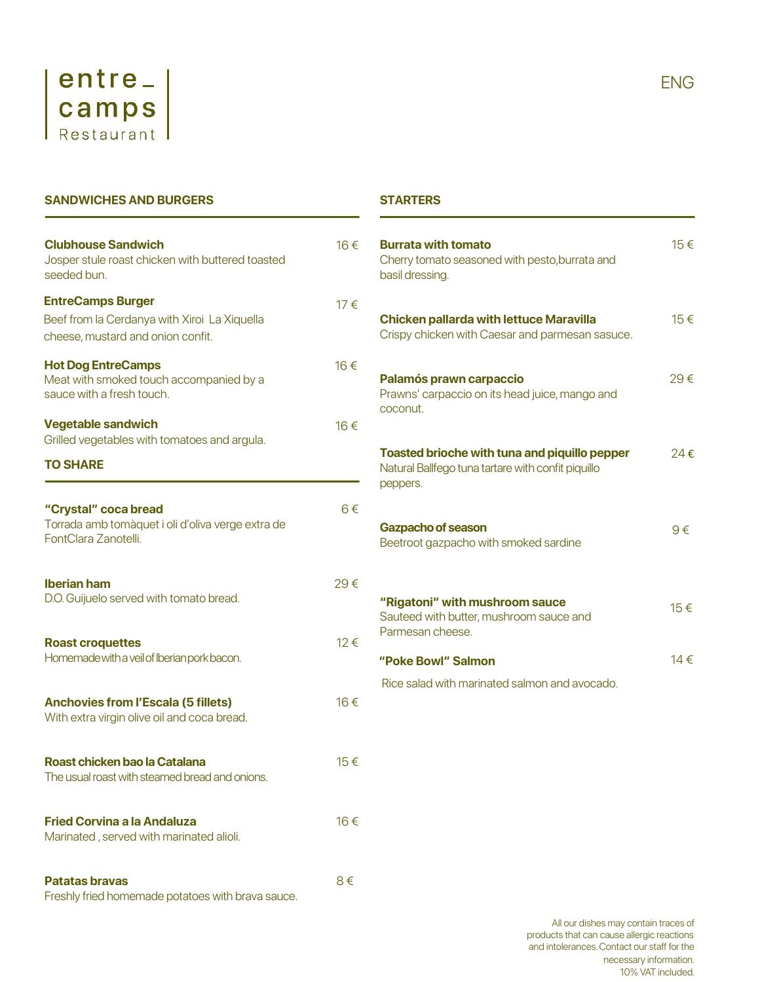

SANDWICHES AND BURGERS

| <b>Clubhouse Sandwich</b><br>Josper stule roast chicken with buttered toasted<br>seeded bun.      | 16€     | <b>Burrata with tomato</b><br>Cherry tomato seasoned with pesto, burrata and<br>basil dressing.                        |
|---------------------------------------------------------------------------------------------------|---------|------------------------------------------------------------------------------------------------------------------------|
| <b>EntreCamps Burger</b>                                                                          | 17€     |                                                                                                                        |
| Beef from la Cerdanya with Xiroi La Xiquella<br>cheese, mustard and onion confit.                 |         | <b>Chicken pallarda with lettuce Maravilla</b><br>Crispy chicken with Caesar and parmesan sasuce.                      |
| <b>Hot Dog EntreCamps</b><br>Meat with smoked touch accompanied by a<br>sauce with a fresh touch. | 16€     | Palamós prawn carpaccio<br>Prawns' carpaccio on its head juice, mango and<br>coconut.                                  |
| <b>Vegetable sandwich</b><br>Grilled vegetables with tomatoes and argula.                         | 16€     |                                                                                                                        |
| <b>TO SHARE</b>                                                                                   |         | <b>Toasted brioche with tuna and piquillo pepper</b><br>Natural Ballfego tuna tartare with confit piquillo<br>peppers. |
| "Crystal" coca bread                                                                              | $6 \in$ |                                                                                                                        |
| Torrada amb tomàquet i oli d'oliva verge extra de<br>FontClara Zanotelli.                         |         | <b>Gazpacho of season</b><br>Beetroot gazpacho with smoked sardine                                                     |
| <b>Iberian ham</b>                                                                                | 29€     |                                                                                                                        |
| D.O. Guijuelo served with tomato bread.                                                           |         | "Rigatoni" with mushroom sauce<br>Sauteed with butter, mushroom sauce and                                              |
| <b>Roast croquettes</b>                                                                           | 12€     | Parmesan cheese.                                                                                                       |
| Homemade with a veil of Iberian pork bacon.                                                       |         | "Poke Bowl" Salmon                                                                                                     |
|                                                                                                   |         | Rice salad with marinated salmon and avocado.                                                                          |
| <b>Anchovies from l'Escala (5 fillets)</b><br>With extra virgin olive oil and coca bread.         | 16€     |                                                                                                                        |
| Roast chicken bao la Catalana<br>The usual roast with steamed bread and onions.                   | 15€     |                                                                                                                        |
|                                                                                                   |         |                                                                                                                        |
| <b>Fried Corvina a la Andaluza</b><br>Marinated, served with marinated alioli.                    | 16€     |                                                                                                                        |
| <b>Patatas bravas</b><br>Freshly fried homemade potatoes with brava sauce.                        | 8€      |                                                                                                                        |

| 16€  | <b>Burrata with tomato</b><br>Cherry tomato seasoned with pesto, burrata and<br>basil dressing.                        | 15€ |
|------|------------------------------------------------------------------------------------------------------------------------|-----|
| 17€  | <b>Chicken pallarda with lettuce Maravilla</b><br>Crispy chicken with Caesar and parmesan sasuce.                      | 15€ |
| 16€  | Palamós prawn carpaccio<br>Prawns' carpaccio on its head juice, mango and<br>coconut.                                  | 29€ |
| 16€  |                                                                                                                        |     |
|      | <b>Toasted brioche with tuna and piquillo pepper</b><br>Natural Ballfego tuna tartare with confit piquillo<br>peppers. | 24€ |
| 6€   | <b>Gazpacho of season</b><br>Beetroot gazpacho with smoked sardine                                                     | 9€  |
| 29€  |                                                                                                                        |     |
|      | "Rigatoni" with mushroom sauce<br>Sauteed with butter, mushroom sauce and<br>Parmesan cheese.                          | 15€ |
| 12€  | "Poke Bowl" Salmon                                                                                                     | 14€ |
|      | Rice salad with marinated salmon and avocado.                                                                          |     |
| 16 € |                                                                                                                        |     |